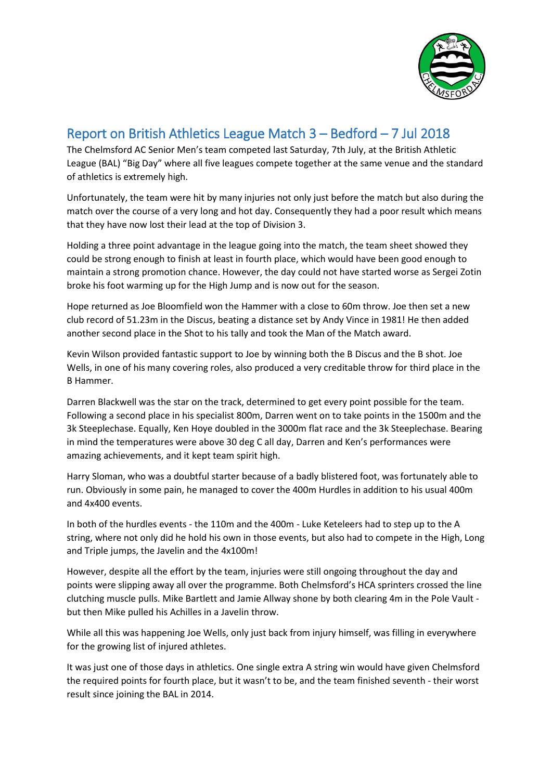

## Report on British Athletics League Match 3 – Bedford – 7 Jul 2018

The Chelmsford AC Senior Men's team competed last Saturday, 7th July, at the British Athletic League (BAL) "Big Day" where all five leagues compete together at the same venue and the standard of athletics is extremely high.

Unfortunately, the team were hit by many injuries not only just before the match but also during the match over the course of a very long and hot day. Consequently they had a poor result which means that they have now lost their lead at the top of Division 3.

Holding a three point advantage in the league going into the match, the team sheet showed they could be strong enough to finish at least in fourth place, which would have been good enough to maintain a strong promotion chance. However, the day could not have started worse as Sergei Zotin broke his foot warming up for the High Jump and is now out for the season.

Hope returned as Joe Bloomfield won the Hammer with a close to 60m throw. Joe then set a new club record of 51.23m in the Discus, beating a distance set by Andy Vince in 1981! He then added another second place in the Shot to his tally and took the Man of the Match award.

Kevin Wilson provided fantastic support to Joe by winning both the B Discus and the B shot. Joe Wells, in one of his many covering roles, also produced a very creditable throw for third place in the B Hammer.

Darren Blackwell was the star on the track, determined to get every point possible for the team. Following a second place in his specialist 800m, Darren went on to take points in the 1500m and the 3k Steeplechase. Equally, Ken Hoye doubled in the 3000m flat race and the 3k Steeplechase. Bearing in mind the temperatures were above 30 deg C all day, Darren and Ken's performances were amazing achievements, and it kept team spirit high.

Harry Sloman, who was a doubtful starter because of a badly blistered foot, was fortunately able to run. Obviously in some pain, he managed to cover the 400m Hurdles in addition to his usual 400m and 4x400 events.

In both of the hurdles events - the 110m and the 400m - Luke Keteleers had to step up to the A string, where not only did he hold his own in those events, but also had to compete in the High, Long and Triple jumps, the Javelin and the 4x100m!

However, despite all the effort by the team, injuries were still ongoing throughout the day and points were slipping away all over the programme. Both Chelmsford's HCA sprinters crossed the line clutching muscle pulls. Mike Bartlett and Jamie Allway shone by both clearing 4m in the Pole Vault but then Mike pulled his Achilles in a Javelin throw.

While all this was happening Joe Wells, only just back from injury himself, was filling in everywhere for the growing list of injured athletes.

It was just one of those days in athletics. One single extra A string win would have given Chelmsford the required points for fourth place, but it wasn't to be, and the team finished seventh - their worst result since joining the BAL in 2014.